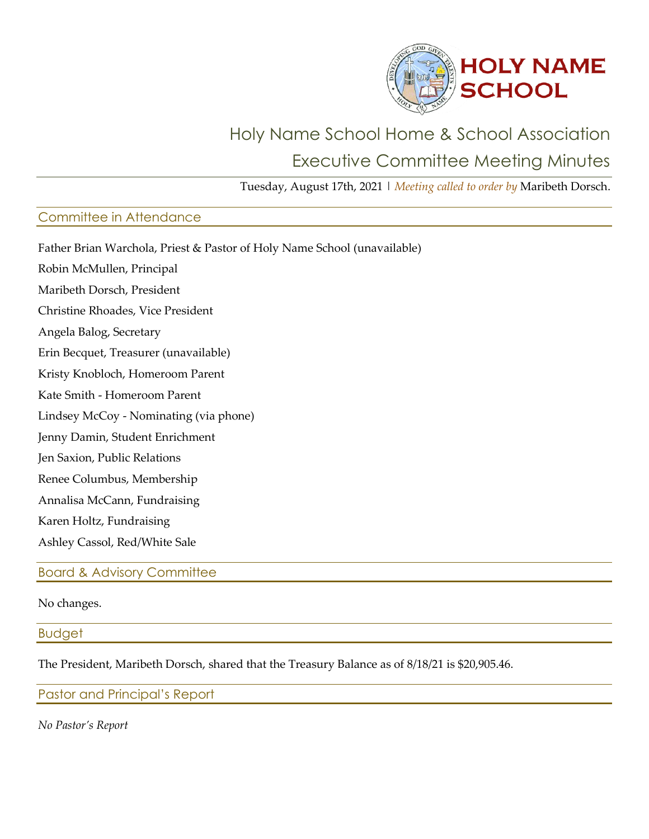

# Holy Name School Home & School Association

# Executive Committee Meeting Minutes

Tuesday, August 17th, 2021 | *Meeting called to order by* Maribeth Dorsch.

#### Committee in Attendance

Father Brian Warchola, Priest & Pastor of Holy Name School (unavailable)

Robin McMullen, Principal

Maribeth Dorsch, President

Christine Rhoades, Vice President

Angela Balog, Secretary

Erin Becquet, Treasurer (unavailable)

Kristy Knobloch, Homeroom Parent

Kate Smith - Homeroom Parent

Lindsey McCoy - Nominating (via phone)

Jenny Damin, Student Enrichment

Jen Saxion, Public Relations

Renee Columbus, Membership

Annalisa McCann, Fundraising

Karen Holtz, Fundraising

Ashley Cassol, Red/White Sale

Board & Advisory Committee

No changes.

Budget

The President, Maribeth Dorsch, shared that the Treasury Balance as of 8/18/21 is \$20,905.46.

Pastor and Principal's Report

*No Pastor's Report*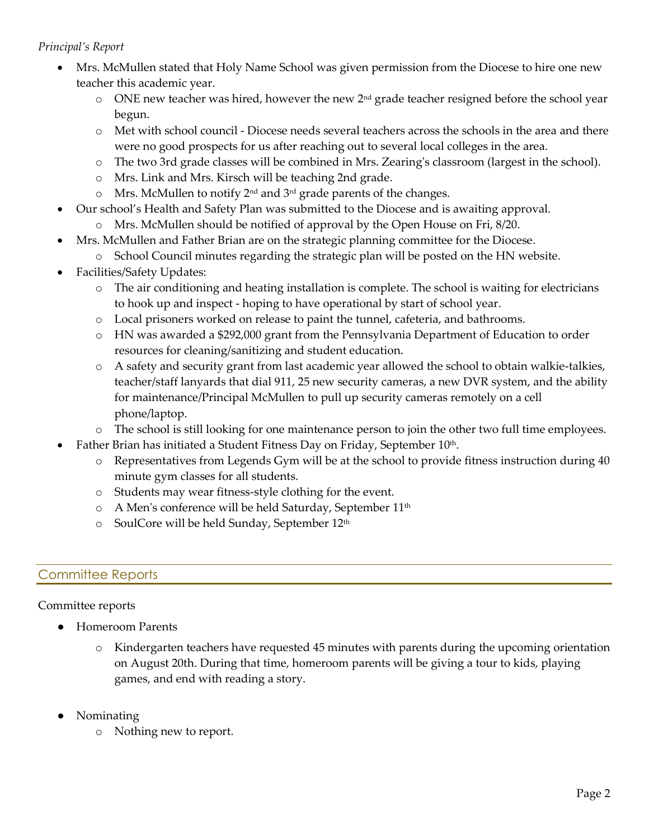## *Principal's Report*

- Mrs. McMullen stated that Holy Name School was given permission from the Diocese to hire one new teacher this academic year.
	- o ONE new teacher was hired, however the new 2<sup>nd</sup> grade teacher resigned before the school year begun.
	- o Met with school council Diocese needs several teachers across the schools in the area and there were no good prospects for us after reaching out to several local colleges in the area.
	- o The two 3rd grade classes will be combined in Mrs. Zearing's classroom (largest in the school).
	- o Mrs. Link and Mrs. Kirsch will be teaching 2nd grade.
	- $\circ$  Mrs. McMullen to notify 2<sup>nd</sup> and 3<sup>rd</sup> grade parents of the changes.
- Our school's Health and Safety Plan was submitted to the Diocese and is awaiting approval.
	- o Mrs. McMullen should be notified of approval by the Open House on Fri, 8/20.
	- Mrs. McMullen and Father Brian are on the strategic planning committee for the Diocese.
		- o School Council minutes regarding the strategic plan will be posted on the HN website.
- Facilities/Safety Updates:
	- o The air conditioning and heating installation is complete. The school is waiting for electricians to hook up and inspect - hoping to have operational by start of school year.
	- o Local prisoners worked on release to paint the tunnel, cafeteria, and bathrooms.
	- o HN was awarded a \$292,000 grant from the Pennsylvania Department of Education to order resources for cleaning/sanitizing and student education.
	- o A safety and security grant from last academic year allowed the school to obtain walkie-talkies, teacher/staff lanyards that dial 911, 25 new security cameras, a new DVR system, and the ability for maintenance/Principal McMullen to pull up security cameras remotely on a cell phone/laptop.
	- o The school is still looking for one maintenance person to join the other two full time employees.
- Father Brian has initiated a Student Fitness Day on Friday, September  $10<sup>th</sup>$ .
	- o Representatives from Legends Gym will be at the school to provide fitness instruction during 40 minute gym classes for all students.
	- o Students may wear fitness-style clothing for the event.
	- o A Men's conference will be held Saturday, September 11<sup>th</sup>
	- o SoulCore will be held Sunday, September 12th

# Committee Reports

### Committee reports

- Homeroom Parents
	- o Kindergarten teachers have requested 45 minutes with parents during the upcoming orientation on August 20th. During that time, homeroom parents will be giving a tour to kids, playing games, and end with reading a story.
- **Nominating** 
	- o Nothing new to report.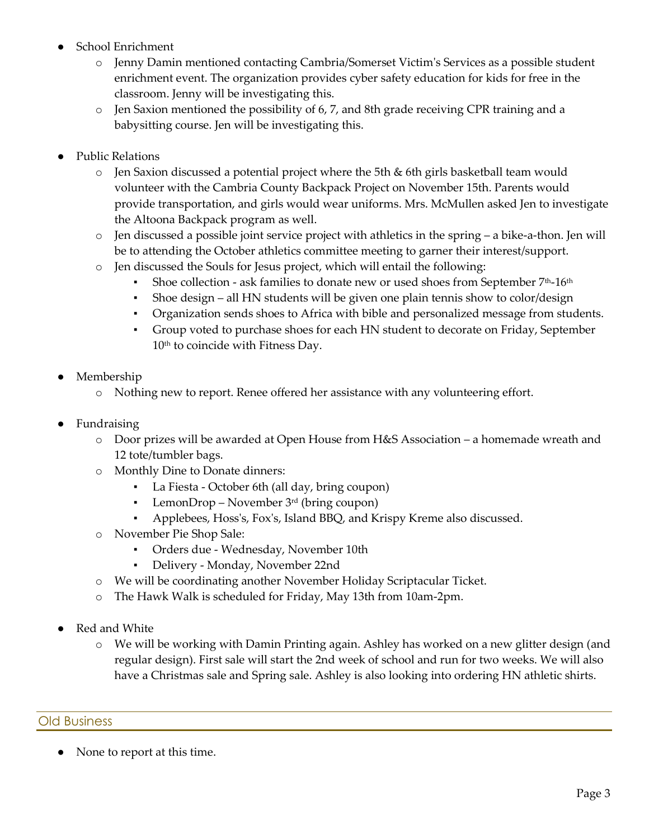- School Enrichment
	- o Jenny Damin mentioned contacting Cambria/Somerset Victim's Services as a possible student enrichment event. The organization provides cyber safety education for kids for free in the classroom. Jenny will be investigating this.
	- $\circ$  Jen Saxion mentioned the possibility of 6, 7, and 8th grade receiving CPR training and a babysitting course. Jen will be investigating this.
- **Public Relations** 
	- $\circ$  Jen Saxion discussed a potential project where the 5th & 6th girls basketball team would volunteer with the Cambria County Backpack Project on November 15th. Parents would provide transportation, and girls would wear uniforms. Mrs. McMullen asked Jen to investigate the Altoona Backpack program as well.
	- $\circ$  Jen discussed a possible joint service project with athletics in the spring a bike-a-thon. Jen will be to attending the October athletics committee meeting to garner their interest/support.
	- o Jen discussed the Souls for Jesus project, which will entail the following:
		- Shoe collection ask families to donate new or used shoes from September  $7<sup>th</sup>$ -16<sup>th</sup>
		- Shoe design all HN students will be given one plain tennis show to color/design
		- Organization sends shoes to Africa with bible and personalized message from students.
		- Group voted to purchase shoes for each HN student to decorate on Friday, September 10<sup>th</sup> to coincide with Fitness Day.
- **Membership** 
	- o Nothing new to report. Renee offered her assistance with any volunteering effort.
- **Fundraising** 
	- o Door prizes will be awarded at Open House from H&S Association a homemade wreath and 12 tote/tumbler bags.
	- o Monthly Dine to Donate dinners:
		- La Fiesta October 6th (all day, bring coupon)
		- **•** LemonDrop November  $3<sup>rd</sup>$  (bring coupon)
		- Applebees, Hoss's, Fox's, Island BBQ, and Krispy Kreme also discussed.
	- o November Pie Shop Sale:
		- Orders due Wednesday, November 10th
		- Delivery Monday, November 22nd
	- o We will be coordinating another November Holiday Scriptacular Ticket.
	- o The Hawk Walk is scheduled for Friday, May 13th from 10am-2pm.
- Red and White
	- o We will be working with Damin Printing again. Ashley has worked on a new glitter design (and regular design). First sale will start the 2nd week of school and run for two weeks. We will also have a Christmas sale and Spring sale. Ashley is also looking into ordering HN athletic shirts.

Old Business

None to report at this time.